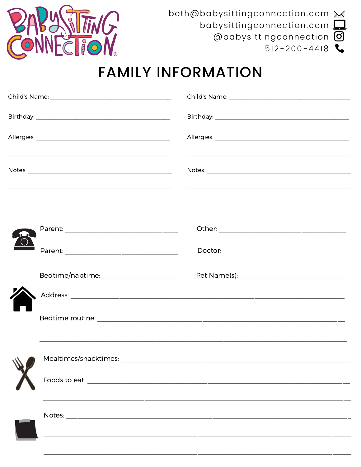

beth@babysittingconnection.com X babysittingconnection.com  $\square$ @babysittingconnection 0  $512 - 200 - 4418$ 

## **FAMILY INFORMATION**

|  | <u> 1999 - Johann Stein, Amerikaansk politiker († 1958)</u> | <u> 1980 - Jan James James James James James James James James James James James James James James James James J</u> |  |
|--|-------------------------------------------------------------|----------------------------------------------------------------------------------------------------------------------|--|
|  |                                                             |                                                                                                                      |  |
|  |                                                             |                                                                                                                      |  |
|  | Bedtime/naptime: _______________________                    |                                                                                                                      |  |
|  |                                                             |                                                                                                                      |  |
|  |                                                             |                                                                                                                      |  |
|  |                                                             |                                                                                                                      |  |
|  |                                                             |                                                                                                                      |  |
|  |                                                             |                                                                                                                      |  |
|  |                                                             |                                                                                                                      |  |
|  |                                                             |                                                                                                                      |  |
|  |                                                             |                                                                                                                      |  |
|  |                                                             |                                                                                                                      |  |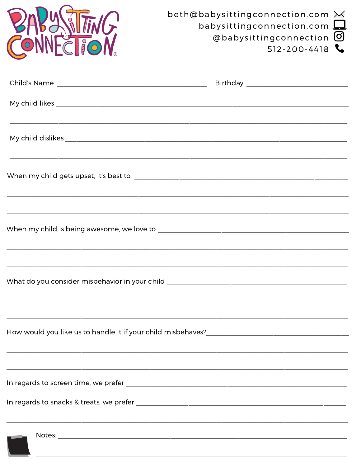| FIIO                                                                              | beth@babysittingconnection.com $\bowtie$<br>babysittingconnection.com<br>@babysittingconnection 0<br>$512 - 200 - 4418$ |  |  |
|-----------------------------------------------------------------------------------|-------------------------------------------------------------------------------------------------------------------------|--|--|
|                                                                                   |                                                                                                                         |  |  |
|                                                                                   |                                                                                                                         |  |  |
|                                                                                   |                                                                                                                         |  |  |
|                                                                                   | ,我们也不会有什么。""我们的人,我们也不会有什么?""我们的人,我们也不会有什么?""我们的人,我们也不会有什么?""我们的人,我们也不会有什么?""我们的人                                        |  |  |
|                                                                                   | ,我们就会在这里的人,我们就会在这里的人,我们就会在这里的人,我们就会在这里的人,我们就会在这里的人,我们就会在这里的人,我们就会在这里的人,我们就会在这里的人                                        |  |  |
| What do you consider misbehavior in your child __________________________________ |                                                                                                                         |  |  |
|                                                                                   |                                                                                                                         |  |  |
|                                                                                   |                                                                                                                         |  |  |
|                                                                                   |                                                                                                                         |  |  |
|                                                                                   |                                                                                                                         |  |  |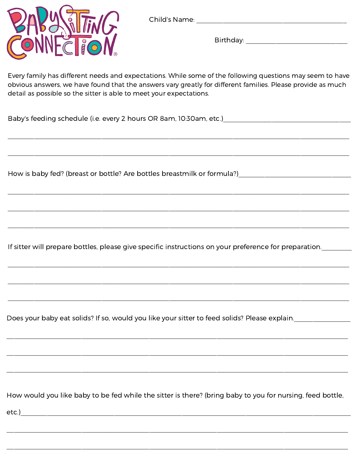



Birthday: Explorer and the state of the state of the state of the state of the state of the state of the state of the state of the state of the state of the state of the state of the state of the state of the state of the

Every family has different needs and expectations. While some of the following questions may seem to have obvious answers, we have found that the answers vary greatly for different families. Please provide as much detail as possible so the sitter is able to meet your expectations.

Baby's feeding schedule (i.e. every 2 hours OR 8am, 10:30am, etc.)

If sitter will prepare bottles, please give specific instructions on your preference for preparation.

Does your baby eat solids? If so, would you like your sitter to feed solids? Please explain.

How would you like baby to be fed while the sitter is there? (bring baby to you for nursing, feed bottle,

 $etc.)$